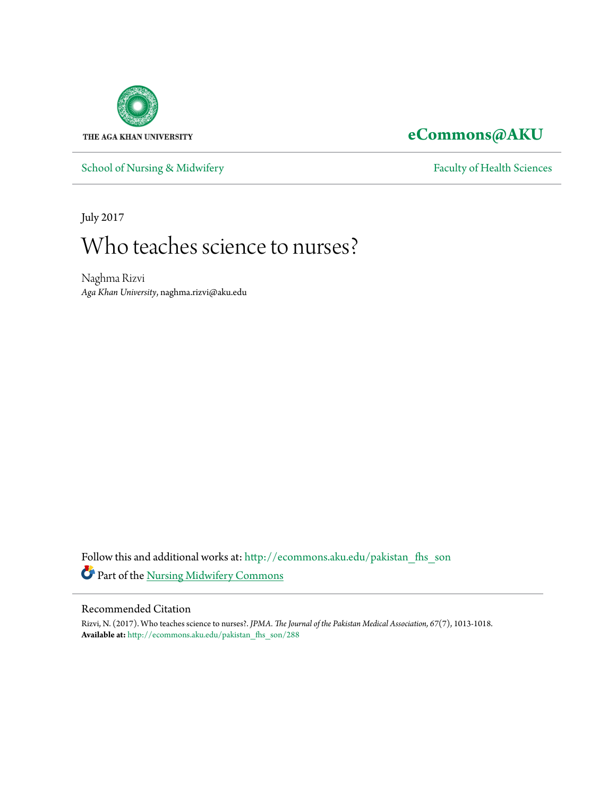

# **[eCommons@AKU](http://ecommons.aku.edu?utm_source=ecommons.aku.edu%2Fpakistan_fhs_son%2F288&utm_medium=PDF&utm_campaign=PDFCoverPages)**

[School of Nursing & Midwifery](http://ecommons.aku.edu/pakistan_fhs_son?utm_source=ecommons.aku.edu%2Fpakistan_fhs_son%2F288&utm_medium=PDF&utm_campaign=PDFCoverPages) [Faculty of Health Sciences](http://ecommons.aku.edu/pakistan_fhs?utm_source=ecommons.aku.edu%2Fpakistan_fhs_son%2F288&utm_medium=PDF&utm_campaign=PDFCoverPages)

July 2017

# Who teaches science to nurses?

Naghma Rizvi *Aga Khan University*, naghma.rizvi@aku.edu

Follow this and additional works at: [http://ecommons.aku.edu/pakistan\\_fhs\\_son](http://ecommons.aku.edu/pakistan_fhs_son?utm_source=ecommons.aku.edu%2Fpakistan_fhs_son%2F288&utm_medium=PDF&utm_campaign=PDFCoverPages) Part of the [Nursing Midwifery Commons](http://network.bepress.com/hgg/discipline/722?utm_source=ecommons.aku.edu%2Fpakistan_fhs_son%2F288&utm_medium=PDF&utm_campaign=PDFCoverPages)

#### Recommended Citation

Rizvi, N. (2017). Who teaches science to nurses?. *JPMA. The Journal of the Pakistan Medical Association, 67*(7), 1013-1018. **Available at:** [http://ecommons.aku.edu/pakistan\\_fhs\\_son/288](http://ecommons.aku.edu/pakistan_fhs_son/288)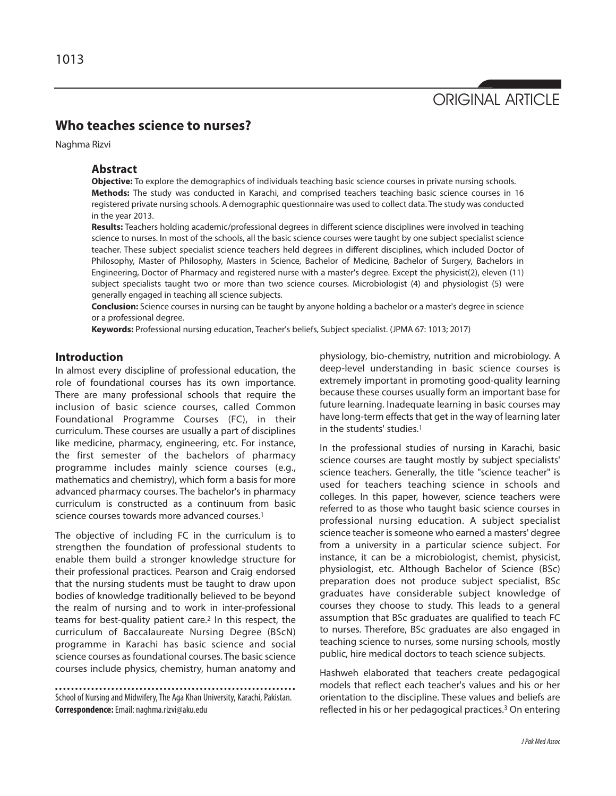# ORIGINAL ARTICLE

### **Who teaches science to nurses?**

Naghma Rizvi

#### **Abstract**

**Objective:** To explore the demographics of individuals teaching basic science courses in private nursing schools. **Methods:** The study was conducted in Karachi, and comprised teachers teaching basic science courses in 16 registered private nursing schools. A demographic questionnaire was used to collect data. The study was conducted in the year 2013.

**Results:** Teachers holding academic/professional degrees in different science disciplines were involved in teaching science to nurses. In most of the schools, all the basic science courses were taught by one subject specialist science teacher. These subject specialist science teachers held degrees in different disciplines, which included Doctor of Philosophy, Master of Philosophy, Masters in Science, Bachelor of Medicine, Bachelor of Surgery, Bachelors in Engineering, Doctor of Pharmacy and registered nurse with a master's degree. Except the physicist(2), eleven (11) subject specialists taught two or more than two science courses. Microbiologist (4) and physiologist (5) were generally engaged in teaching all science subjects.

**Conclusion:** Science courses in nursing can be taught by anyone holding a bachelor or a master's degree in science or a professional degree.

**Keywords:** Professional nursing education, Teacher's beliefs, Subject specialist. (JPMA 67: 1013; 2017)

#### **Introduction**

In almost every discipline of professional education, the role of foundational courses has its own importance. There are many professional schools that require the inclusion of basic science courses, called Common Foundational Programme Courses (FC), in their curriculum. These courses are usually a part of disciplines like medicine, pharmacy, engineering, etc. For instance, the first semester of the bachelors of pharmacy programme includes mainly science courses (e.g., mathematics and chemistry), which form a basis for more advanced pharmacy courses. The bachelor's in pharmacy curriculum is constructed as a continuum from basic science courses towards more advanced courses.<sup>1</sup>

The objective of including FC in the curriculum is to strengthen the foundation of professional students to enable them build a stronger knowledge structure for their professional practices. Pearson and Craig endorsed that the nursing students must be taught to draw upon bodies of knowledge traditionally believed to be beyond the realm of nursing and to work in inter-professional teams for best-quality patient care.<sup>2</sup> In this respect, the curriculum of Baccalaureate Nursing Degree (BScN) programme in Karachi has basic science and social science courses as foundational courses. The basic science courses include physics, chemistry, human anatomy and

physiology, bio-chemistry, nutrition and microbiology. A deep-level understanding in basic science courses is extremely important in promoting good-quality learning because these courses usually form an important base for future learning. Inadequate learning in basic courses may have long-term effects that get in the way of learning later in the students' studies.<sup>1</sup>

In the professional studies of nursing in Karachi, basic science courses are taught mostly by subject specialists' science teachers. Generally, the title "science teacher" is used for teachers teaching science in schools and colleges. In this paper, however, science teachers were referred to as those who taught basic science courses in professional nursing education. A subject specialist science teacher is someone who earned a masters' degree from a university in a particular science subject. For instance, it can be a microbiologist, chemist, physicist, physiologist, etc. Although Bachelor of Science (BSc) preparation does not produce subject specialist, BSc graduates have considerable subject knowledge of courses they choose to study. This leads to a general assumption that BSc graduates are qualified to teach FC to nurses. Therefore, BSc graduates are also engaged in teaching science to nurses, some nursing schools, mostly public, hire medical doctors to teach science subjects.

Hashweh elaborated that teachers create pedagogical models that reflect each teacher's values and his or her orientation to the discipline. These values and beliefs are reflected in his or her pedagogical practices.<sup>3</sup> On entering

School of Nursing and Midwifery, The Aga Khan University, Karachi, Pakistan. **Correspondence:**Email: naghma.rizvi@aku.edu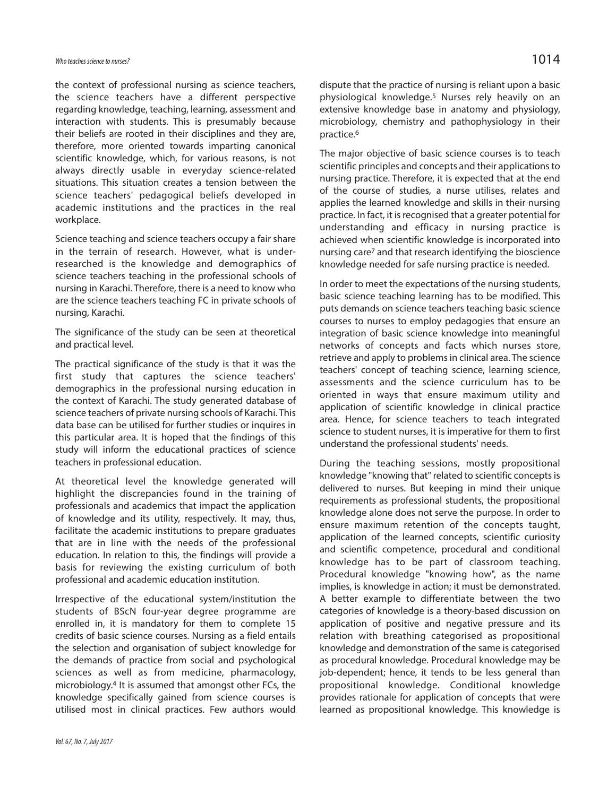the context of professional nursing as science teachers, the science teachers have a different perspective regarding knowledge, teaching, learning, assessment and interaction with students. This is presumably because their beliefs are rooted in their disciplines and they are, therefore, more oriented towards imparting canonical scientific knowledge, which, for various reasons, is not always directly usable in everyday science-related situations. This situation creates a tension between the science teachers' pedagogical beliefs developed in academic institutions and the practices in the real workplace.

Science teaching and science teachers occupy a fair share in the terrain of research. However, what is underresearched is the knowledge and demographics of science teachers teaching in the professional schools of nursing in Karachi. Therefore, there is a need to know who are the science teachers teaching FC in private schools of nursing, Karachi.

The significance of the study can be seen at theoretical and practical level.

The practical significance of the study is that it was the first study that captures the science teachers' demographics in the professional nursing education in the context of Karachi. The study generated database of science teachers of private nursing schools of Karachi. This data base can be utilised for further studies or inquires in this particular area. It is hoped that the findings of this study will inform the educational practices of science teachers in professional education.

At theoretical level the knowledge generated will highlight the discrepancies found in the training of professionals and academics that impact the application of knowledge and its utility, respectively. It may, thus, facilitate the academic institutions to prepare graduates that are in line with the needs of the professional education. In relation to this, the findings will provide a basis for reviewing the existing curriculum of both professional and academic education institution.

Irrespective of the educational system/institution the students of BScN four-year degree programme are enrolled in, it is mandatory for them to complete 15 credits of basic science courses. Nursing as a field entails the selection and organisation of subject knowledge for the demands of practice from social and psychological sciences as well as from medicine, pharmacology, microbiology.<sup>4</sup> It is assumed that amongst other FCs, the knowledge specifically gained from science courses is utilised most in clinical practices. Few authors would

dispute that the practice of nursing is reliant upon a basic physiological knowledge.<sup>5</sup> Nurses rely heavily on an extensive knowledge base in anatomy and physiology, microbiology, chemistry and pathophysiology in their practice.<sup>6</sup>

The major objective of basic science courses is to teach scientific principles and concepts and their applications to nursing practice. Therefore, it is expected that at the end of the course of studies, a nurse utilises, relates and applies the learned knowledge and skills in their nursing practice. In fact, it is recognised that a greater potential for understanding and efficacy in nursing practice is achieved when scientific knowledge is incorporated into nursing care<sup>7</sup> and that research identifying the bioscience knowledge needed for safe nursing practice is needed.

In order to meet the expectations of the nursing students, basic science teaching learning has to be modified. This puts demands on science teachers teaching basic science courses to nurses to employ pedagogies that ensure an integration of basic science knowledge into meaningful networks of concepts and facts which nurses store, retrieve and apply to problems in clinical area. The science teachers' concept of teaching science, learning science, assessments and the science curriculum has to be oriented in ways that ensure maximum utility and application of scientific knowledge in clinical practice area. Hence, for science teachers to teach integrated science to student nurses, it is imperative for them to first understand the professional students' needs.

During the teaching sessions, mostly propositional knowledge "knowing that" related to scientific concepts is delivered to nurses. But keeping in mind their unique requirements as professional students, the propositional knowledge alone does not serve the purpose. In order to ensure maximum retention of the concepts taught, application of the learned concepts, scientific curiosity and scientific competence, procedural and conditional knowledge has to be part of classroom teaching. Procedural knowledge "knowing how", as the name implies, is knowledge in action; it must be demonstrated. A better example to differentiate between the two categories of knowledge is a theory-based discussion on application of positive and negative pressure and its relation with breathing categorised as propositional knowledge and demonstration of the same is categorised as procedural knowledge. Procedural knowledge may be job-dependent; hence, it tends to be less general than propositional knowledge. Conditional knowledge provides rationale for application of concepts that were learned as propositional knowledge. This knowledge is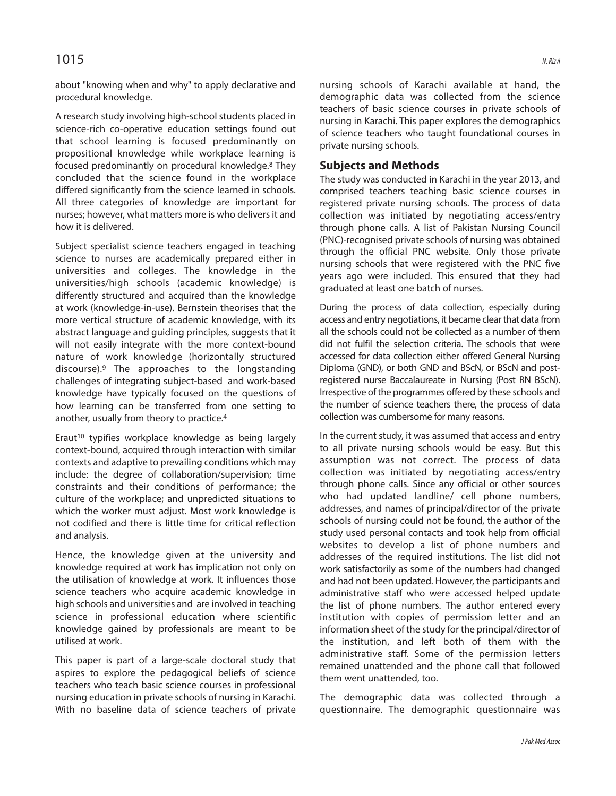### $1015$  N. Rizvi

about "knowing when and why" to apply declarative and procedural knowledge.

A research study involving high-school students placed in science-rich co-operative education settings found out that school learning is focused predominantly on propositional knowledge while workplace learning is focused predominantly on procedural knowledge.<sup>8</sup> They concluded that the science found in the workplace differed significantly from the science learned in schools. All three categories of knowledge are important for nurses; however, what matters more is who delivers it and how it is delivered.

Subject specialist science teachers engaged in teaching science to nurses are academically prepared either in universities and colleges. The knowledge in the universities/high schools (academic knowledge) is differently structured and acquired than the knowledge at work (knowledge-in-use). Bernstein theorises that the more vertical structure of academic knowledge, with its abstract language and guiding principles, suggests that it will not easily integrate with the more context-bound nature of work knowledge (horizontally structured discourse).<sup>9</sup> The approaches to the longstanding challenges of integrating subject-based and work-based knowledge have typically focused on the questions of how learning can be transferred from one setting to another, usually from theory to practice.<sup>4</sup>

Eraut<sup>10</sup> typifies workplace knowledge as being largely context-bound, acquired through interaction with similar contexts and adaptive to prevailing conditions which may include: the degree of collaboration/supervision; time constraints and their conditions of performance; the culture of the workplace; and unpredicted situations to which the worker must adjust. Most work knowledge is not codified and there is little time for critical reflection and analysis.

Hence, the knowledge given at the university and knowledge required at work has implication not only on the utilisation of knowledge at work. It influences those science teachers who acquire academic knowledge in high schools and universities and are involved in teaching science in professional education where scientific knowledge gained by professionals are meant to be utilised at work.

This paper is part of a large-scale doctoral study that aspires to explore the pedagogical beliefs of science teachers who teach basic science courses in professional nursing education in private schools of nursing in Karachi. With no baseline data of science teachers of private

nursing schools of Karachi available at hand, the demographic data was collected from the science teachers of basic science courses in private schools of nursing in Karachi. This paper explores the demographics of science teachers who taught foundational courses in private nursing schools.

#### **Subjects and Methods**

The study was conducted in Karachi in the year 2013, and comprised teachers teaching basic science courses in registered private nursing schools. The process of data collection was initiated by negotiating access/entry through phone calls. A list of Pakistan Nursing Council (PNC)-recognised private schools of nursing was obtained through the official PNC website. Only those private nursing schools that were registered with the PNC five years ago were included. This ensured that they had graduated at least one batch of nurses.

During the process of data collection, especially during access and entry negotiations, it became clear that data from all the schools could not be collected as a number of them did not fulfil the selection criteria. The schools that were accessed for data collection either offered General Nursing Diploma (GND), or both GND and BScN, or BScN and postregistered nurse Baccalaureate in Nursing (Post RN BScN). Irrespective of the programmes offered by these schools and the number of science teachers there, the process of data collection was cumbersome for many reasons.

In the current study, it was assumed that access and entry to all private nursing schools would be easy. But this assumption was not correct. The process of data collection was initiated by negotiating access/entry through phone calls. Since any official or other sources who had updated landline/ cell phone numbers, addresses, and names of principal/director of the private schools of nursing could not be found, the author of the study used personal contacts and took help from official websites to develop a list of phone numbers and addresses of the required institutions. The list did not work satisfactorily as some of the numbers had changed and had not been updated. However, the participants and administrative staff who were accessed helped update the list of phone numbers. The author entered every institution with copies of permission letter and an information sheet of the study for the principal/director of the institution, and left both of them with the administrative staff. Some of the permission letters remained unattended and the phone call that followed them went unattended, too.

The demographic data was collected through a questionnaire. The demographic questionnaire was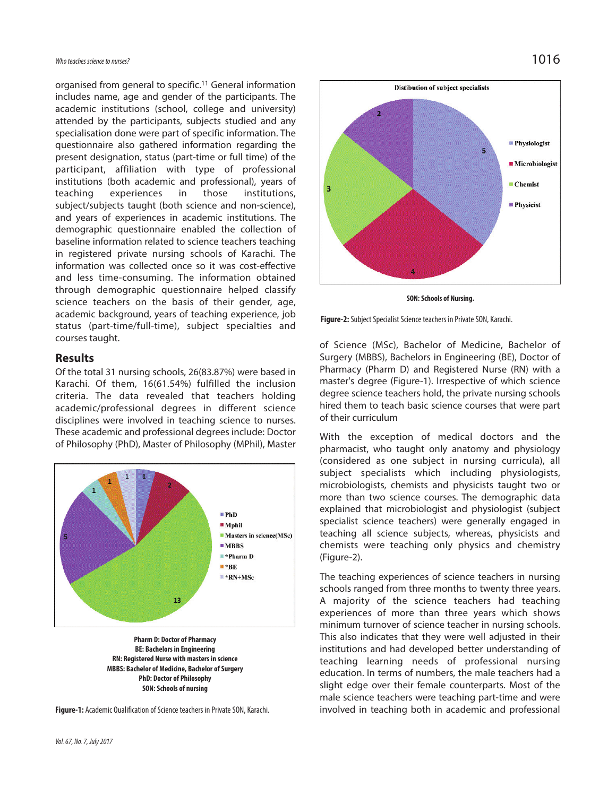organised from general to specific.<sup>11</sup> General information includes name, age and gender of the participants. The academic institutions (school, college and university) attended by the participants, subjects studied and any specialisation done were part of specific information. The questionnaire also gathered information regarding the present designation, status (part-time or full time) of the participant, affiliation with type of professional institutions (both academic and professional), years of teaching experiences in those institutions, subject/subjects taught (both science and non-science), and years of experiences in academic institutions. The demographic questionnaire enabled the collection of baseline information related to science teachers teaching in registered private nursing schools of Karachi. The information was collected once so it was cost-effective and less time-consuming. The information obtained through demographic questionnaire helped classify science teachers on the basis of their gender, age, academic background, years of teaching experience, job status (part-time/full-time), subject specialties and courses taught.

#### **Results**

Of the total 31 nursing schools, 26(83.87%) were based in Karachi. Of them, 16(61.54%) fulfilled the inclusion criteria. The data revealed that teachers holding academic/professional degrees in different science disciplines were involved in teaching science to nurses. These academic and professional degrees include: Doctor of Philosophy (PhD), Master of Philosophy (MPhil), Master



**Pharm D: Doctor of Pharmacy BE: Bachelors in Engineering RN: Registered Nurse with masters in science MBBS: Bachelor of Medicine, Bachelor of Surgery PhD: Doctor of Philosophy SON: Schools of nursing**





**SON: Schools of Nursing.**



of Science (MSc), Bachelor of Medicine, Bachelor of Surgery (MBBS), Bachelors in Engineering (BE), Doctor of Pharmacy (Pharm D) and Registered Nurse (RN) with a master's degree (Figure-1). Irrespective of which science degree science teachers hold, the private nursing schools hired them to teach basic science courses that were part of their curriculum

With the exception of medical doctors and the pharmacist, who taught only anatomy and physiology (considered as one subject in nursing curricula), all subject specialists which including physiologists, microbiologists, chemists and physicists taught two or more than two science courses. The demographic data explained that microbiologist and physiologist (subject specialist science teachers) were generally engaged in teaching all science subjects, whereas, physicists and chemists were teaching only physics and chemistry (Figure-2).

The teaching experiences of science teachers in nursing schools ranged from three months to twenty three years. A majority of the science teachers had teaching experiences of more than three years which shows minimum turnover of science teacher in nursing schools. This also indicates that they were well adjusted in their institutions and had developed better understanding of teaching learning needs of professional nursing education. In terms of numbers, the male teachers had a slight edge over their female counterparts. Most of the male science teachers were teaching part-time and were involved in teaching both in academic and professional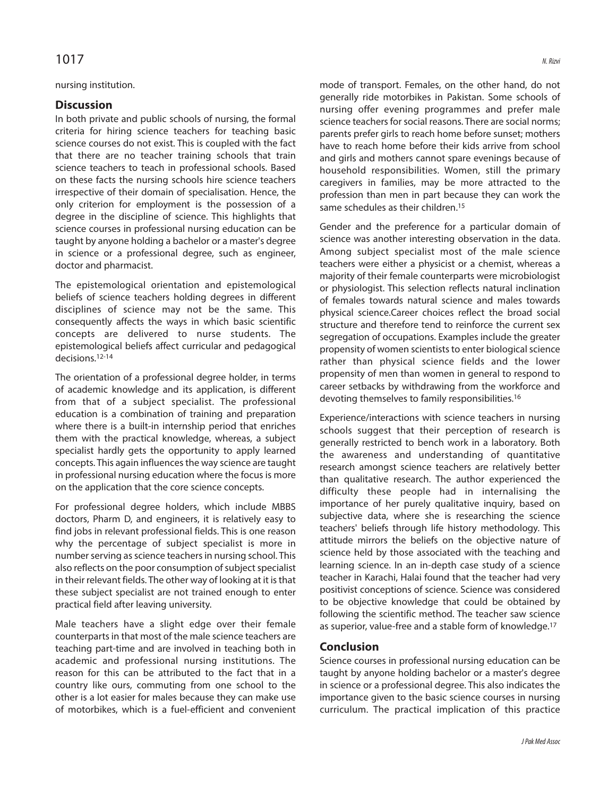## $1017$  N. Rizvi

#### nursing institution.

#### **Discussion**

In both private and public schools of nursing, the formal criteria for hiring science teachers for teaching basic science courses do not exist. This is coupled with the fact that there are no teacher training schools that train science teachers to teach in professional schools. Based on these facts the nursing schools hire science teachers irrespective of their domain of specialisation. Hence, the only criterion for employment is the possession of a degree in the discipline of science. This highlights that science courses in professional nursing education can be taught by anyone holding a bachelor or a master's degree in science or a professional degree, such as engineer, doctor and pharmacist.

The epistemological orientation and epistemological beliefs of science teachers holding degrees in different disciplines of science may not be the same. This consequently affects the ways in which basic scientific concepts are delivered to nurse students. The epistemological beliefs affect curricular and pedagogical decisions.12-14

The orientation of a professional degree holder, in terms of academic knowledge and its application, is different from that of a subject specialist. The professional education is a combination of training and preparation where there is a built-in internship period that enriches them with the practical knowledge, whereas, a subject specialist hardly gets the opportunity to apply learned concepts. This again influences the way science are taught in professional nursing education where the focus is more on the application that the core science concepts.

For professional degree holders, which include MBBS doctors, Pharm D, and engineers, it is relatively easy to find jobs in relevant professional fields. This is one reason why the percentage of subject specialist is more in number serving as science teachers in nursing school. This also reflects on the poor consumption of subject specialist in their relevant fields. The other way of looking at it is that these subject specialist are not trained enough to enter practical field after leaving university.

Male teachers have a slight edge over their female counterparts in that most of the male science teachers are teaching part-time and are involved in teaching both in academic and professional nursing institutions. The reason for this can be attributed to the fact that in a country like ours, commuting from one school to the other is a lot easier for males because they can make use of motorbikes, which is a fuel-efficient and convenient mode of transport. Females, on the other hand, do not generally ride motorbikes in Pakistan. Some schools of nursing offer evening programmes and prefer male science teachers for social reasons. There are social norms; parents prefer girls to reach home before sunset; mothers have to reach home before their kids arrive from school and girls and mothers cannot spare evenings because of household responsibilities. Women, still the primary caregivers in families, may be more attracted to the profession than men in part because they can work the same schedules as their children.<sup>15</sup>

Gender and the preference for a particular domain of science was another interesting observation in the data. Among subject specialist most of the male science teachers were either a physicist or a chemist, whereas a majority of their female counterparts were microbiologist or physiologist. This selection reflects natural inclination of females towards natural science and males towards physical science.Career choices reflect the broad social structure and therefore tend to reinforce the current sex segregation of occupations. Examples include the greater propensity of women scientists to enter biological science rather than physical science fields and the lower propensity of men than women in general to respond to career setbacks by withdrawing from the workforce and devoting themselves to family responsibilities.<sup>16</sup>

Experience/interactions with science teachers in nursing schools suggest that their perception of research is generally restricted to bench work in a laboratory. Both the awareness and understanding of quantitative research amongst science teachers are relatively better than qualitative research. The author experienced the difficulty these people had in internalising the importance of her purely qualitative inquiry, based on subjective data, where she is researching the science teachers' beliefs through life history methodology. This attitude mirrors the beliefs on the objective nature of science held by those associated with the teaching and learning science. In an in-depth case study of a science teacher in Karachi, Halai found that the teacher had very positivist conceptions of science. Science was considered to be objective knowledge that could be obtained by following the scientific method. The teacher saw science as superior, value-free and a stable form of knowledge.<sup>17</sup>

#### **Conclusion**

Science courses in professional nursing education can be taught by anyone holding bachelor or a master's degree in science or a professional degree. This also indicates the importance given to the basic science courses in nursing curriculum. The practical implication of this practice